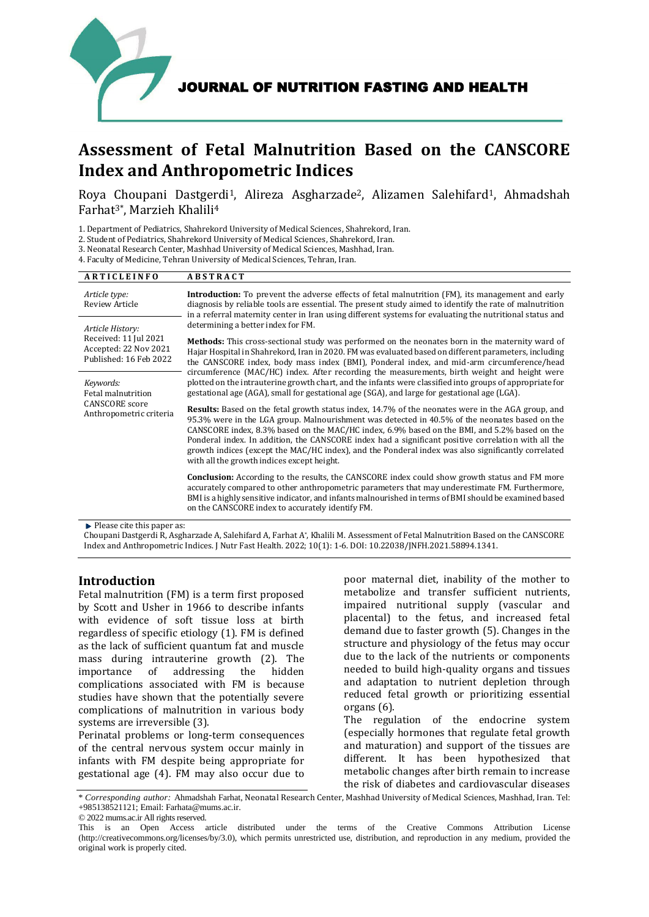

# **Assessment of Fetal Malnutrition Based on the CANSCORE Index and Anthropometric Indices**

Roya Choupani Dastgerdi<sup>1</sup>, Alireza Asgharzade<sup>2</sup>, Alizamen Salehifard<sup>1</sup>, Ahmadshah Farhat3\* , Marzieh Khalili<sup>4</sup>

1. Department of Pediatrics, Shahrekord University of Medical Sciences, Shahrekord, Iran.

2. Student of Pediatrics, Shahrekord University of Medical Sciences, Shahrekord, Iran.

3. Neonatal Research Center, Mashhad University of Medical Sciences, Mashhad, Iran.

4. Faculty of Medicine, Tehran University of Medical Sciences, Tehran, Iran.

| <b>ARTICLEINFO</b>                                                                           | <b>ABSTRACT</b>                                                                                                                                                                                                                                                                                                                                                                                                                                                                                                                                                       |  |
|----------------------------------------------------------------------------------------------|-----------------------------------------------------------------------------------------------------------------------------------------------------------------------------------------------------------------------------------------------------------------------------------------------------------------------------------------------------------------------------------------------------------------------------------------------------------------------------------------------------------------------------------------------------------------------|--|
| Article type:<br><b>Review Article</b>                                                       | <b>Introduction:</b> To prevent the adverse effects of fetal malnutrition (FM), its management and early<br>diagnosis by reliable tools are essential. The present study aimed to identify the rate of malnutrition<br>in a referral maternity center in Iran using different systems for evaluating the nutritional status and                                                                                                                                                                                                                                       |  |
| Article History:<br>Received: 11 Jul 2021<br>Accepted: 22 Nov 2021<br>Published: 16 Feb 2022 | determining a better index for FM.                                                                                                                                                                                                                                                                                                                                                                                                                                                                                                                                    |  |
|                                                                                              | <b>Methods:</b> This cross-sectional study was performed on the neonates born in the maternity ward of<br>Hajar Hospital in Shahrekord, Iran in 2020. FM was evaluated based on different parameters, including<br>the CANSCORE index, body mass index (BMI), Ponderal index, and mid-arm circumference/head                                                                                                                                                                                                                                                          |  |
| Keywords:<br>Fetal malnutrition<br><b>CANSCORE</b> score<br>Anthropometric criteria          | circumference (MAC/HC) index. After recording the measurements, birth weight and height were<br>plotted on the intrauterine growth chart, and the infants were classified into groups of appropriate for<br>gestational age (AGA), small for gestational age (SGA), and large for gestational age (LGA).                                                                                                                                                                                                                                                              |  |
|                                                                                              | <b>Results:</b> Based on the fetal growth status index, 14.7% of the neonates were in the AGA group, and<br>95.3% were in the LGA group. Malnourishment was detected in 40.5% of the neonates based on the<br>CANSCORE index, 8.3% based on the MAC/HC index, 6.9% based on the BMI, and 5.2% based on the<br>Ponderal index. In addition, the CANSCORE index had a significant positive correlation with all the<br>growth indices (except the MAC/HC index), and the Ponderal index was also significantly correlated<br>with all the growth indices except height. |  |
|                                                                                              | Conclusion: According to the results, the CANSCORE index could show growth status and FM more<br>accurately compared to other anthropometric parameters that may underestimate FM. Furthermore,<br>BMI is a highly sensitive indicator, and infants malnourished in terms of BMI should be examined based<br>on the CANSCORE index to accurately identify FM.                                                                                                                                                                                                         |  |
| $\cdots$ $\cdots$                                                                            |                                                                                                                                                                                                                                                                                                                                                                                                                                                                                                                                                                       |  |

Please cite this paper as:

Choupani Dastgerdi R, Asgharzade A, Salehifard A, Farhat A\*, Khalili M. Assessment of Fetal Malnutrition Based on the CANSCORE Index and Anthropometric Indices. J Nutr Fast Health. 2022; 10(1): 1-6. DOI: 10.22038/JNFH.2021.58894.1341.

## **Introduction**

Fetal malnutrition (FM) is a term first proposed by Scott and Usher in 1966 to describe infants with evidence of soft tissue loss at birth regardless of specific etiology [\(1\)](#page-4-0). FM is defined as the lack of sufficient quantum fat and muscle mass during intrauterine growth [\(2\)](#page-4-1). The importance of addressing the hidden complications associated with FM is because studies have shown that the potentially severe complications of malnutrition in various body systems are irreversible [\(3\)](#page-4-2).

Perinatal problems or long-term consequences of the central nervous system occur mainly in infants with FM despite being appropriate for gestational age [\(4\)](#page-4-3). FM may also occur due to

poor maternal diet, inability of the mother to metabolize and transfer sufficient nutrients, impaired nutritional supply (vascular and placental) to the fetus, and increased fetal demand due to faster growth [\(5\)](#page-5-0). Changes in the structure and physiology of the fetus may occur due to the lack of the nutrients or components needed to build high-quality organs and tissues and adaptation to nutrient depletion through reduced fetal growth or prioritizing essential organs [\(6\)](#page-5-1).

The regulation of the endocrine system (especially hormones that regulate fetal growth and maturation) and support of the tissues are different. It has been hypothesized that metabolic changes after birth remain to increase the risk of diabetes and cardiovascular diseases

\* *Corresponding author:* Ahmadshah Farhat, Neonatal Research Center, Mashhad University of Medical Sciences, Mashhad, Iran. Tel: +985138521121; Email: Farhata@mums.ac.ir.

© 2022 mums.ac.ir All rights reserved.

This is an Open Access article distributed under the terms of the Creative Commons Attribution License (http://creativecommons.org/licenses/by/3.0), which permits unrestricted use, distribution, and reproduction in any medium, provided the original work is properly cited.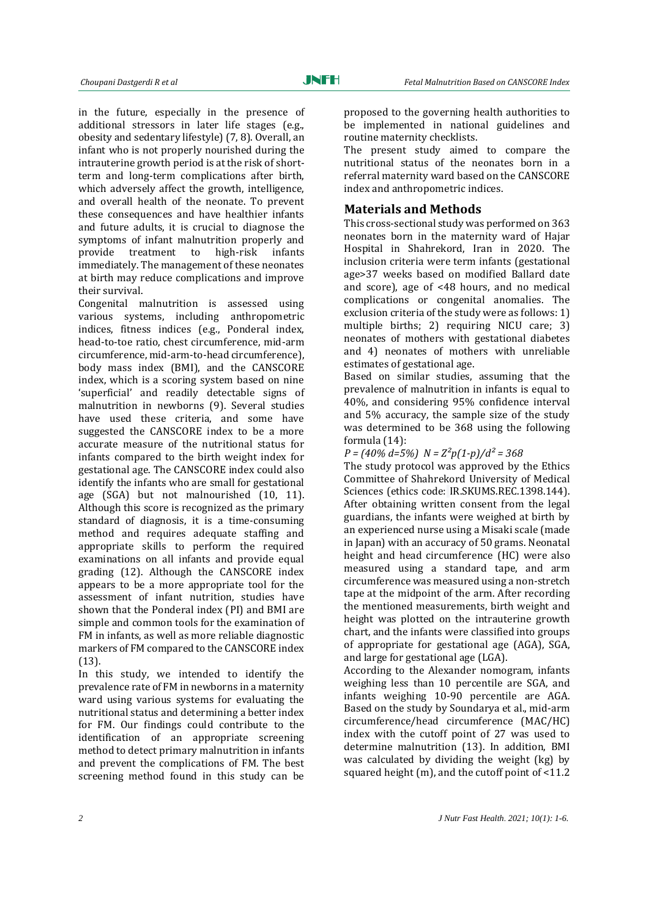in the future, especially in the presence of additional stressors in later life stages (e.g., obesity and sedentary lifestyle) [\(7,](#page-5-2) [8\)](#page-5-3). Overall, an infant who is not properly nourished during the intrauterine growth period is at the risk of shortterm and long-term complications after birth, which adversely affect the growth, intelligence, and overall health of the neonate. To prevent these consequences and have healthier infants and future adults, it is crucial to diagnose the symptoms of infant malnutrition properly and provide treatment to high-risk infants immediately. The management of these neonates at birth may reduce complications and improve their survival.

Congenital malnutrition is assessed using various systems, including anthropometric indices, fitness indices (e.g., Ponderal index, head-to-toe ratio, chest circumference, mid-arm circumference, mid-arm-to-head circumference), body mass index (BMI), and the CANSCORE index, which is a scoring system based on nine 'superficial' and readily detectable signs of malnutrition in newborns [\(9\)](#page-5-4). Several studies have used these criteria, and some have suggested the CANSCORE index to be a more accurate measure of the nutritional status for infants compared to the birth weight index for gestational age. The CANSCORE index could also identify the infants who are small for gestational age (SGA) but not malnourished [\(10,](#page-5-5) [11\)](#page-5-6). Although this score is recognized as the primary standard of diagnosis, it is a time-consuming method and requires adequate staffing and appropriate skills to perform the required examinations on all infants and provide equal grading [\(12\)](#page-5-7). Although the CANSCORE index appears to be a more appropriate tool for the assessment of infant nutrition, studies have shown that the Ponderal index (PI) and BMI are simple and common tools for the examination of FM in infants, as well as more reliable diagnostic markers of FM compared to the CANSCORE index [\(13\)](#page-5-8).

In this study, we intended to identify the prevalence rate of FM in newborns in a maternity ward using various systems for evaluating the nutritional status and determining a better index for FM. Our findings could contribute to the identification of an appropriate screening method to detect primary malnutrition in infants and prevent the complications of FM. The best screening method found in this study can be

proposed to the governing health authorities to be implemented in national guidelines and routine maternity checklists.

The present study aimed to compare the nutritional status of the neonates born in a referral maternity ward based on the CANSCORE index and anthropometric indices.

#### **Materials and Methods**

This cross-sectional study was performed on 363 neonates born in the maternity ward of Hajar Hospital in Shahrekord, Iran in 2020. The inclusion criteria were term infants (gestational age>37 weeks based on modified Ballard date and score), age of <48 hours, and no medical complications or congenital anomalies. The exclusion criteria of the study were as follows: 1) multiple births; 2) requiring NICU care; 3) neonates of mothers with gestational diabetes and 4) neonates of mothers with unreliable estimates of gestational age.

Based on similar studies, assuming that the prevalence of malnutrition in infants is equal to 40%, and considering 95% confidence interval and 5% accuracy, the sample size of the study was determined to be 368 using the following formula [\(14\)](#page-5-9):

#### *P = (40% d=5%) N = Z²p(1-p)/d² = 368*

The study protocol was approved by the Ethics Committee of Shahrekord University of Medical Sciences (ethics code: IR.SKUMS.REC.1398.144). After obtaining written consent from the legal guardians, the infants were weighed at birth by an experienced nurse using a Misaki scale (made in Japan) with an accuracy of 50 grams. Neonatal height and head circumference (HC) were also measured using a standard tape, and arm circumference was measured using a non-stretch tape at the midpoint of the arm. After recording the mentioned measurements, birth weight and height was plotted on the intrauterine growth chart, and the infants were classified into groups of appropriate for gestational age (AGA), SGA, and large for gestational age (LGA).

According to the Alexander nomogram, infants weighing less than 10 percentile are SGA, and infants weighing 10-90 percentile are AGA. Based on the study by Soundarya et al., mid-arm circumference/head circumference (MAC/HC) index with the cutoff point of 27 was used to determine malnutrition [\(13\)](#page-5-8). In addition, BMI was calculated by dividing the weight (kg) by squared height (m), and the cutoff point of <11.2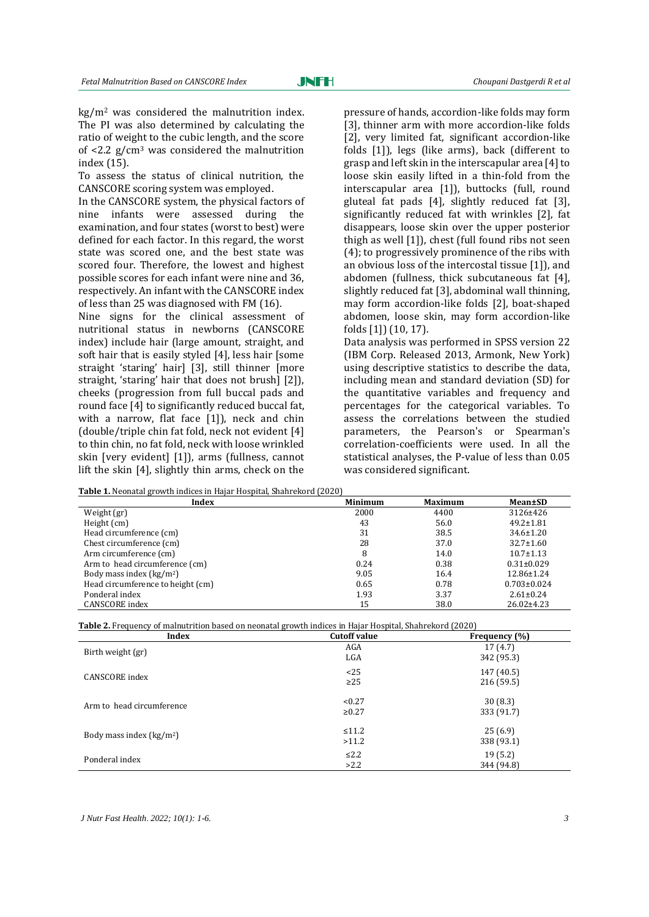kg/m<sup>2</sup> was considered the malnutrition index. The PI was also determined by calculating the ratio of weight to the cubic length, and the score of  $\langle 2.2 \rangle$  g/cm<sup>3</sup> was considered the malnutrition index [\(15\)](#page-5-10).

To assess the status of clinical nutrition, the CANSCORE scoring system was employed.

In the CANSCORE system, the physical factors of nine infants were assessed during the examination, and four states (worst to best) were defined for each factor. In this regard, the worst state was scored one, and the best state was scored four. Therefore, the lowest and highest possible scores for each infant were nine and 36, respectively. An infant with the CANSCORE index of less than 25 was diagnosed with FM [\(16\)](#page-5-11).

Nine signs for the clinical assessment of nutritional status in newborns (CANSCORE index) include hair (large amount, straight, and soft hair that is easily styled [4], less hair [some straight 'staring' hair] [3], still thinner [more straight, 'staring' hair that does not brush] [2]), cheeks (progression from full buccal pads and round face [4] to significantly reduced buccal fat, with a narrow, flat face [1]), neck and chin (double/triple chin fat fold, neck not evident [4] to thin chin, no fat fold, neck with loose wrinkled skin [very evident] [1]), arms (fullness, cannot lift the skin [4], slightly thin arms, check on the

pressure of hands, accordion-like folds may form [3], thinner arm with more accordion-like folds [2], very limited fat, significant accordion-like folds [1]), legs (like arms), back (different to grasp and left skin in the interscapular area [4] to loose skin easily lifted in a thin-fold from the interscapular area [1]), buttocks (full, round gluteal fat pads [4], slightly reduced fat [3], significantly reduced fat with wrinkles [2], fat disappears, loose skin over the upper posterior thigh as well [1]), chest (full found ribs not seen (4); to progressively prominence of the ribs with an obvious loss of the intercostal tissue [1]), and abdomen (fullness, thick subcutaneous fat [4], slightly reduced fat [3], abdominal wall thinning, may form accordion-like folds [2], boat-shaped abdomen, loose skin, may form accordion-like folds [1]) [\(10,](#page-5-5) [17\)](#page-5-12).

Data analysis was performed in SPSS version 22 (IBM Corp. Released 2013, Armonk, New York) using descriptive statistics to describe the data, including mean and standard deviation (SD) for the quantitative variables and frequency and percentages for the categorical variables. To assess the correlations between the studied parameters, the Pearson's or Spearman's correlation-coefficients were used. In all the statistical analyses, the P-value of less than 0.05 was considered significant.

| <b>Table 1.</b> Neonatal growth indices in Hajar Hospital, Shahrekord (2020) |                |                |                   |  |  |  |  |
|------------------------------------------------------------------------------|----------------|----------------|-------------------|--|--|--|--|
| Index                                                                        | <b>Minimum</b> | <b>Maximum</b> | Mean±SD           |  |  |  |  |
| Weight (gr)                                                                  | 2000           | 4400           | 3126±426          |  |  |  |  |
| Height (cm)                                                                  | 43             | 56.0           | $49.2 \pm 1.81$   |  |  |  |  |
| Head circumference (cm)                                                      | 31             | 38.5           | $34.6 \pm 1.20$   |  |  |  |  |
| Chest circumference (cm)                                                     | 28             | 37.0           | $32.7 \pm 1.60$   |  |  |  |  |
| Arm circumference (cm)                                                       | 8              | 14.0           | $10.7 \pm 1.13$   |  |  |  |  |
| Arm to head circumference (cm)                                               | 0.24           | 0.38           | $0.31 \pm 0.029$  |  |  |  |  |
| Body mass index $\frac{\text{kg}}{m^2}$                                      | 9.05           | 16.4           | $12.86 \pm 1.24$  |  |  |  |  |
| Head circumference to height (cm)                                            | 0.65           | 0.78           | $0.703 \pm 0.024$ |  |  |  |  |
| Ponderal index                                                               | 1.93           | 3.37           | $2.61 \pm 0.24$   |  |  |  |  |
| CANSCORE index                                                               | 15             | 38.0           | $26.02 \pm 4.23$  |  |  |  |  |

**Table 2.** Frequency of malnutrition based on neonatal growth indices in Hajar Hospital, Shahrekord (2020)

| Index                     | . .<br><b>Cutoff value</b> | Frequency (%)            |
|---------------------------|----------------------------|--------------------------|
| Birth weight (gr)         | AGA<br>LGA                 | 17(4.7)<br>342 (95.3)    |
| CANSCORE index            | <25<br>$\geq$ 25           | 147 (40.5)<br>216 (59.5) |
| Arm to head circumference | < 0.27<br>$\ge 0.27$       | 30(8.3)<br>333 (91.7)    |
| Body mass index $(kg/m2)$ | $\leq 11.2$<br>>11.2       | 25(6.9)<br>338 (93.1)    |
| Ponderal index            | $\leq 2.2$<br>>2.2         | 19(5.2)<br>344 (94.8)    |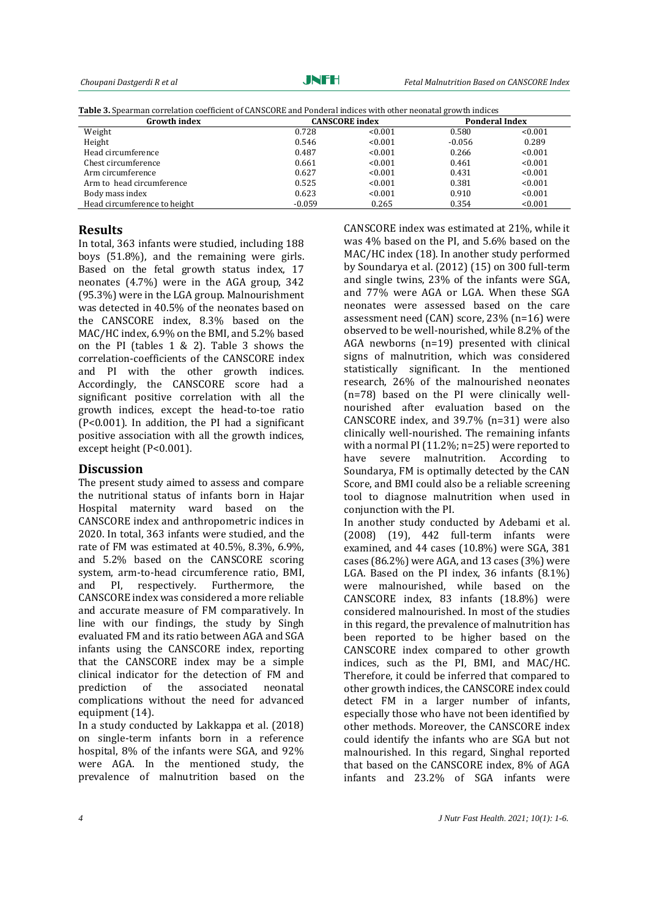JNFH

*Choupani Dastgerdi R et al Fetal Malnutrition Based on CANSCORE Index*

**Table 3.** Spearman correlation coefficient of CANSCORE and Ponderal indices with other neonatal growth indices

| <b>Growth index</b>          | <b>CANSCORE</b> index |         | <b>Ponderal Index</b> |         |
|------------------------------|-----------------------|---------|-----------------------|---------|
| Weight                       | 0.728                 | < 0.001 | 0.580                 | < 0.001 |
| Height                       | 0.546                 | < 0.001 | $-0.056$              | 0.289   |
| Head circumference           | 0.487                 | < 0.001 | 0.266                 | < 0.001 |
| Chest circumference          | 0.661                 | < 0.001 | 0.461                 | < 0.001 |
| Arm circumference            | 0.627                 | < 0.001 | 0.431                 | < 0.001 |
| Arm to head circumference    | 0.525                 | < 0.001 | 0.381                 | < 0.001 |
| Body mass index              | 0.623                 | < 0.001 | 0.910                 | < 0.001 |
| Head circumference to height | $-0.059$              | 0.265   | 0.354                 | < 0.001 |

## **Results**

In total, 363 infants were studied, including 188 boys (51.8%), and the remaining were girls. Based on the fetal growth status index, 17 neonates (4.7%) were in the AGA group, 342 (95.3%) were in the LGA group. Malnourishment was detected in 40.5% of the neonates based on the CANSCORE index, 8.3% based on the MAC/HC index, 6.9% on the BMI, and 5.2% based on the PI (tables 1 & 2). Table 3 shows the correlation-coefficients of the CANSCORE index and PI with the other growth indices. Accordingly, the CANSCORE score had a significant positive correlation with all the growth indices, except the head-to-toe ratio (P<0.001). In addition, the PI had a significant positive association with all the growth indices, except height (P<0.001).

## **Discussion**

The present study aimed to assess and compare the nutritional status of infants born in Hajar Hospital maternity ward based on the CANSCORE index and anthropometric indices in 2020. In total, 363 infants were studied, and the rate of FM was estimated at 40.5%, 8.3%, 6.9%, and 5.2% based on the CANSCORE scoring system, arm-to-head circumference ratio, BMI, and PI, respectively. Furthermore, the CANSCORE index was considered a more reliable and accurate measure of FM comparatively. In line with our findings, the study by Singh evaluated FM and its ratio between AGA and SGA infants using the CANSCORE index, reporting that the CANSCORE index may be a simple clinical indicator for the detection of FM and prediction of the associated neonatal complications without the need for advanced equipment [\(14\)](#page-5-9).

In a study conducted by Lakkappa et al. (2018) on single-term infants born in a reference hospital, 8% of the infants were SGA, and 92% were AGA. In the mentioned study, the prevalence of malnutrition based on the

CANSCORE index was estimated at 21%, while it was 4% based on the PI, and 5.6% based on the MAC/HC index [\(18\)](#page-5-13). In another study performed by Soundarya et al. (2012) [\(15\)](#page-5-10) on 300 full-term and single twins, 23% of the infants were SGA, and 77% were AGA or LGA. When these SGA neonates were assessed based on the care assessment need (CAN) score, 23% (n=16) were observed to be well-nourished, while 8.2% of the AGA newborns (n=19) presented with clinical signs of malnutrition, which was considered statistically significant. In the mentioned research, 26% of the malnourished neonates (n=78) based on the PI were clinically wellnourished after evaluation based on the CANSCORE index, and 39.7% (n=31) were also clinically well-nourished. The remaining infants with a normal PI (11.2%; n=25) were reported to have severe malnutrition. According to Soundarya, FM is optimally detected by the CAN Score, and BMI could also be a reliable screening tool to diagnose malnutrition when used in conjunction with the PI.

In another study conducted by Adebami et al. (2008) [\(19\)](#page-5-14), 442 full-term infants were examined, and 44 cases (10.8%) were SGA, 381 cases (86.2%) were AGA, and 13 cases (3%) were LGA. Based on the PI index, 36 infants (8.1%) were malnourished, while based on the CANSCORE index, 83 infants (18.8%) were considered malnourished. In most of the studies in this regard, the prevalence of malnutrition has been reported to be higher based on the CANSCORE index compared to other growth indices, such as the PI, BMI, and MAC/HC. Therefore, it could be inferred that compared to other growth indices, the CANSCORE index could detect FM in a larger number of infants, especially those who have not been identified by other methods. Moreover, the CANSCORE index could identify the infants who are SGA but not malnourished. In this regard, Singhal reported that based on the CANSCORE index, 8% of AGA infants and 23.2% of SGA infants were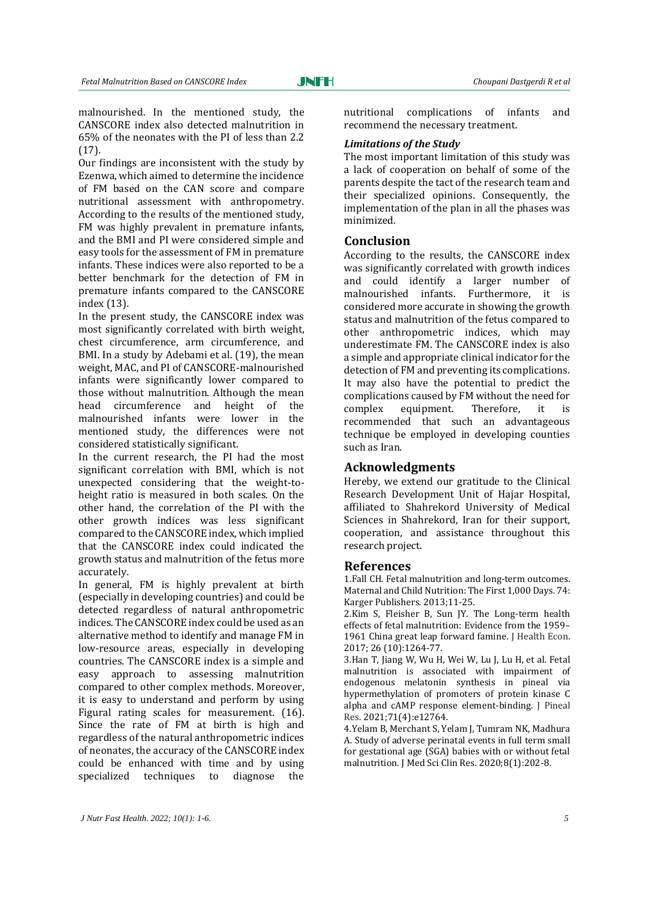malnourished. In the mentioned study, the CANSCORE index also detected malnutrition in 65% of the neonates with the PI of less than 2.2 [\(17\)](#page-5-12).

Our findings are inconsistent with the study by Ezenwa, which aimed to determine the incidence of FM based on the CAN score and compare nutritional assessment with anthropometry. According to the results of the mentioned study, FM was highly prevalent in premature infants, and the BMI and PI were considered simple and easy tools for the assessment of FM in premature infants. These indices were also reported to be a better benchmark for the detection of FM in premature infants compared to the CANSCORE index [\(13\)](#page-5-8).

In the present study, the CANSCORE index was most significantly correlated with birth weight, chest circumference, arm circumference, and BMI. In a study by Adebami et al. [\(19\)](#page-5-14), the mean weight, MAC, and PI of CANSCORE-malnourished infants were significantly lower compared to those without malnutrition. Although the mean head circumference and height of the malnourished infants were lower in the mentioned study, the differences were not considered statistically significant.

In the current research, the PI had the most significant correlation with BMI, which is not unexpected considering that the weight-toheight ratio is measured in both scales. On the other hand, the correlation of the PI with the other growth indices was less significant compared to the CANSCORE index, which implied that the CANSCORE index could indicated the growth status and malnutrition of the fetus more accurately.

In general, FM is highly prevalent at birth (especially in developing countries) and could be detected regardless of natural anthropometric indices. The CANSCORE index could be used as an alternative method to identify and manage FM in low-resource areas, especially in developing countries. The CANSCORE index is a simple and easy approach to assessing malnutrition compared to other complex methods. Moreover, it is easy to understand and perform by using Figural rating scales for measurement. [\(16\)](#page-5-11). Since the rate of FM at birth is high and regardless of the natural anthropometric indices of neonates, the accuracy of the CANSCORE index could be enhanced with time and by using specialized techniques to diagnose the

nutritional complications of infants and recommend the necessary treatment.

#### *Limitations of the Study*

The most important limitation of this study was a lack of cooperation on behalf of some of the parents despite the tact of the research team and their specialized opinions. Consequently, the implementation of the plan in all the phases was minimized.

## **Conclusion**

According to the results, the CANSCORE index was significantly correlated with growth indices and could identify a larger number of malnourished infants. Furthermore, it is considered more accurate in showing the growth status and malnutrition of the fetus compared to other anthropometric indices, which may underestimate FM. The CANSCORE index is also a simple and appropriate clinical indicator for the detection of FM and preventing its complications. It may also have the potential to predict the complications caused by FM without the need for complex equipment. Therefore, it is recommended that such an advantageous technique be employed in developing counties such as Iran.

## **Acknowledgments**

Hereby, we extend our gratitude to the Clinical Research Development Unit of Hajar Hospital, affiliated to Shahrekord University of Medical Sciences in Shahrekord, Iran for their support, cooperation, and assistance throughout this research project.

## **References**

<span id="page-4-0"></span>1.Fall CH. Fetal malnutrition and long-term outcomes. Maternal and Child Nutrition: The First 1,000 Days. 74: Karger Publishers. 2013;11-25.

<span id="page-4-1"></span>2.Kim S, Fleisher B, Sun JY. The Long-term health effects of fetal malnutrition: Evidence from the 1959– 1961 China great leap forward famine. J Health Econ. 2017; 26 (10):1264-77.

<span id="page-4-2"></span>3.Han T, Jiang W, Wu H, Wei W, Lu J, Lu H, et al. Fetal malnutrition is associated with impairment of endogenous melatonin synthesis in pineal via hypermethylation of promoters of protein kinase C alpha and cAMP response element‐binding. J Pineal Res. 2021;71(4):e12764.

<span id="page-4-3"></span>4.Yelam B, Merchant S, Yelam J, Tumram NK, Madhura A. Study of adverse perinatal events in full term small for gestational age (SGA) babies with or without fetal malnutrition. J Med Sci Clin Res. 2020;8(1):202-8.